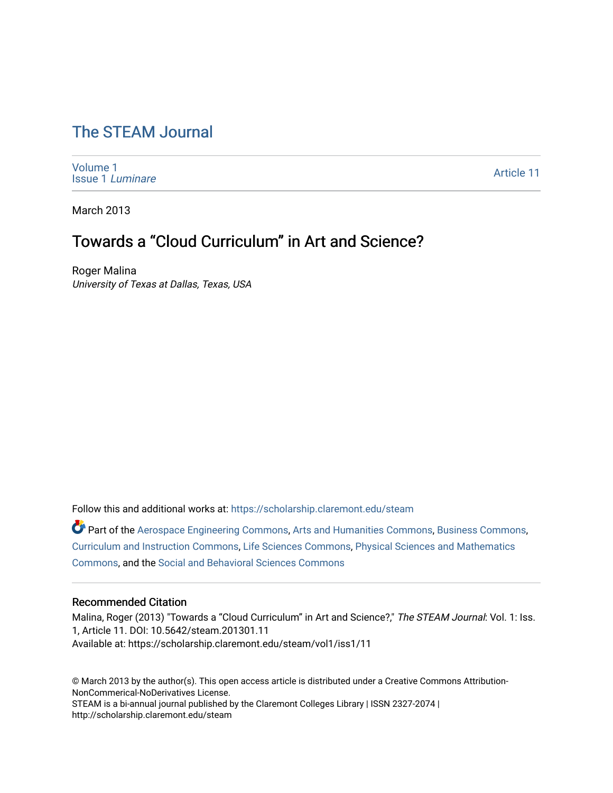# [The STEAM Journal](https://scholarship.claremont.edu/steam)

[Volume 1](https://scholarship.claremont.edu/steam/vol1) [Issue 1](https://scholarship.claremont.edu/steam/vol1/iss1) Luminare

[Article 11](https://scholarship.claremont.edu/steam/vol1/iss1/11) 

March 2013

# Towards a "Cloud Curriculum" in Art and Science?

Roger Malina University of Texas at Dallas, Texas, USA

Follow this and additional works at: [https://scholarship.claremont.edu/steam](https://scholarship.claremont.edu/steam?utm_source=scholarship.claremont.edu%2Fsteam%2Fvol1%2Fiss1%2F11&utm_medium=PDF&utm_campaign=PDFCoverPages) 

Part of the [Aerospace Engineering Commons](https://network.bepress.com/hgg/discipline/218?utm_source=scholarship.claremont.edu%2Fsteam%2Fvol1%2Fiss1%2F11&utm_medium=PDF&utm_campaign=PDFCoverPages), [Arts and Humanities Commons](https://network.bepress.com/hgg/discipline/438?utm_source=scholarship.claremont.edu%2Fsteam%2Fvol1%2Fiss1%2F11&utm_medium=PDF&utm_campaign=PDFCoverPages), [Business Commons,](https://network.bepress.com/hgg/discipline/622?utm_source=scholarship.claremont.edu%2Fsteam%2Fvol1%2Fiss1%2F11&utm_medium=PDF&utm_campaign=PDFCoverPages) [Curriculum and Instruction Commons,](https://network.bepress.com/hgg/discipline/786?utm_source=scholarship.claremont.edu%2Fsteam%2Fvol1%2Fiss1%2F11&utm_medium=PDF&utm_campaign=PDFCoverPages) [Life Sciences Commons,](https://network.bepress.com/hgg/discipline/1016?utm_source=scholarship.claremont.edu%2Fsteam%2Fvol1%2Fiss1%2F11&utm_medium=PDF&utm_campaign=PDFCoverPages) [Physical Sciences and Mathematics](https://network.bepress.com/hgg/discipline/114?utm_source=scholarship.claremont.edu%2Fsteam%2Fvol1%2Fiss1%2F11&utm_medium=PDF&utm_campaign=PDFCoverPages)  [Commons](https://network.bepress.com/hgg/discipline/114?utm_source=scholarship.claremont.edu%2Fsteam%2Fvol1%2Fiss1%2F11&utm_medium=PDF&utm_campaign=PDFCoverPages), and the [Social and Behavioral Sciences Commons](https://network.bepress.com/hgg/discipline/316?utm_source=scholarship.claremont.edu%2Fsteam%2Fvol1%2Fiss1%2F11&utm_medium=PDF&utm_campaign=PDFCoverPages)

#### Recommended Citation

Malina, Roger (2013) "Towards a "Cloud Curriculum" in Art and Science?," The STEAM Journal: Vol. 1: Iss. 1, Article 11. DOI: 10.5642/steam.201301.11 Available at: https://scholarship.claremont.edu/steam/vol1/iss1/11

© March 2013 by the author(s). This open access article is distributed under a Creative Commons Attribution-NonCommerical-NoDerivatives License. STEAM is a bi-annual journal published by the Claremont Colleges Library | ISSN 2327-2074 | http://scholarship.claremont.edu/steam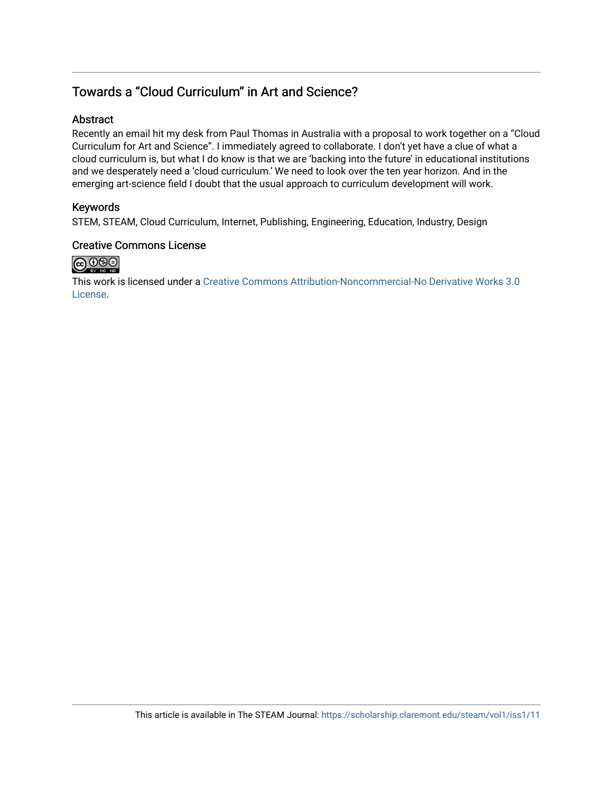## Towards a "Cloud Curriculum" in Art and Science?

#### **Abstract**

Recently an email hit my desk from Paul Thomas in Australia with a proposal to work together on a "Cloud Curriculum for Art and Science". I immediately agreed to collaborate. I don't yet have a clue of what a cloud curriculum is, but what I do know is that we are 'backing into the future' in educational institutions and we desperately need a 'cloud curriculum.' We need to look over the ten year horizon. And in the emerging art-science field I doubt that the usual approach to curriculum development will work.

### Keywords

STEM, STEAM, Cloud Curriculum, Internet, Publishing, Engineering, Education, Industry, Design

### Creative Commons License



This work is licensed under a [Creative Commons Attribution-Noncommercial-No Derivative Works 3.0](https://creativecommons.org/licenses/by-nc-nd/3.0/) [License](https://creativecommons.org/licenses/by-nc-nd/3.0/).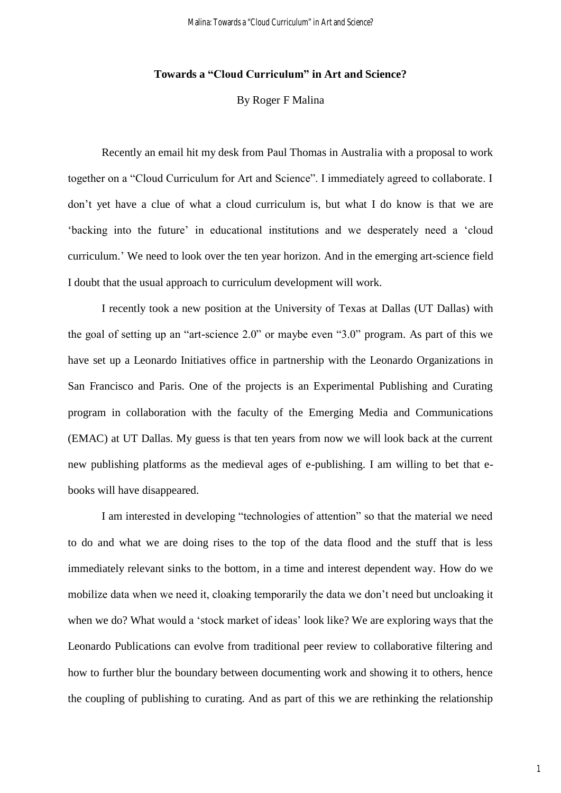#### **Towards a "Cloud Curriculum" in Art and Science?**

By Roger F Malina

Recently an email hit my desk from Paul Thomas in Australia with a proposal to work together on a "Cloud Curriculum for Art and Science". I immediately agreed to collaborate. I don't yet have a clue of what a cloud curriculum is, but what I do know is that we are 'backing into the future' in educational institutions and we desperately need a 'cloud curriculum.' We need to look over the ten year horizon. And in the emerging art-science field I doubt that the usual approach to curriculum development will work.

I recently took a new position at the University of Texas at Dallas (UT Dallas) with the goal of setting up an "art-science 2.0" or maybe even "3.0" program. As part of this we have set up a Leonardo Initiatives office in partnership with the Leonardo Organizations in San Francisco and Paris. One of the projects is an Experimental Publishing and Curating program in collaboration with the faculty of the Emerging Media and Communications (EMAC) at UT Dallas. My guess is that ten years from now we will look back at the current new publishing platforms as the medieval ages of e-publishing. I am willing to bet that ebooks will have disappeared.

I am interested in developing "technologies of attention" so that the material we need to do and what we are doing rises to the top of the data flood and the stuff that is less immediately relevant sinks to the bottom, in a time and interest dependent way. How do we mobilize data when we need it, cloaking temporarily the data we don't need but uncloaking it when we do? What would a 'stock market of ideas' look like? We are exploring ways that the Leonardo Publications can evolve from traditional peer review to collaborative filtering and how to further blur the boundary between documenting work and showing it to others, hence the coupling of publishing to curating. And as part of this we are rethinking the relationship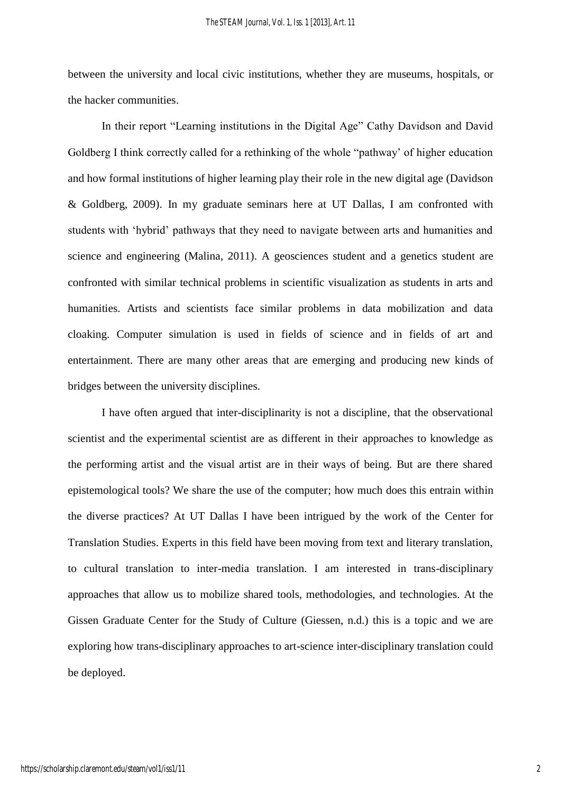between the university and local civic institutions, whether they are museums, hospitals, or the hacker communities.

In their report "Learning institutions in the Digital Age" Cathy Davidson and David Goldberg I think correctly called for a rethinking of the whole "pathway' of higher education and how formal institutions of higher learning play their role in the new digital age (Davidson & Goldberg, 2009). In my graduate seminars here at UT Dallas, I am confronted with students with 'hybrid' pathways that they need to navigate between arts and humanities and science and engineering (Malina, 2011). A geosciences student and a genetics student are confronted with similar technical problems in scientific visualization as students in arts and humanities. Artists and scientists face similar problems in data mobilization and data cloaking. Computer simulation is used in fields of science and in fields of art and entertainment. There are many other areas that are emerging and producing new kinds of bridges between the university disciplines.

I have often argued that inter-disciplinarity is not a discipline, that the observational scientist and the experimental scientist are as different in their approaches to knowledge as the performing artist and the visual artist are in their ways of being. But are there shared epistemological tools? We share the use of the computer; how much does this entrain within the diverse practices? At UT Dallas I have been intrigued by the work of the Center for Translation Studies. Experts in this field have been moving from text and literary translation, to cultural translation to inter-media translation. I am interested in trans-disciplinary approaches that allow us to mobilize shared tools, methodologies, and technologies. At the Gissen Graduate Center for the Study of Culture (Giessen, n.d.) this is a topic and we are exploring how trans-disciplinary approaches to art-science inter-disciplinary translation could be deployed.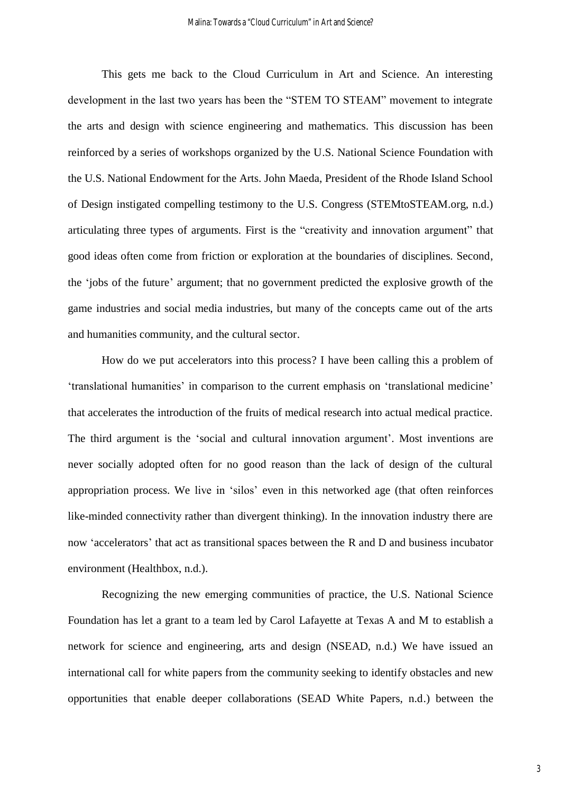This gets me back to the Cloud Curriculum in Art and Science. An interesting development in the last two years has been the "STEM TO STEAM" movement to integrate the arts and design with science engineering and mathematics. This discussion has been reinforced by a series of workshops organized by the U.S. National Science Foundation with the U.S. National Endowment for the Arts. John Maeda, President of the Rhode Island School of Design instigated compelling testimony to the U.S. Congress (STEMtoSTEAM.org, n.d.) articulating three types of arguments. First is the "creativity and innovation argument" that good ideas often come from friction or exploration at the boundaries of disciplines. Second, the 'jobs of the future' argument; that no government predicted the explosive growth of the game industries and social media industries, but many of the concepts came out of the arts and humanities community, and the cultural sector.

How do we put accelerators into this process? I have been calling this a problem of 'translational humanities' in comparison to the current emphasis on 'translational medicine' that accelerates the introduction of the fruits of medical research into actual medical practice. The third argument is the 'social and cultural innovation argument'. Most inventions are never socially adopted often for no good reason than the lack of design of the cultural appropriation process. We live in 'silos' even in this networked age (that often reinforces like-minded connectivity rather than divergent thinking). In the innovation industry there are now 'accelerators' that act as transitional spaces between the R and D and business incubator environment (Healthbox, n.d.).

Recognizing the new emerging communities of practice, the U.S. National Science Foundation has let a grant to a team led by Carol Lafayette at Texas A and M to establish a network for science and engineering, arts and design (NSEAD, n.d.) We have issued an international call for white papers from the community seeking to identify obstacles and new opportunities that enable deeper collaborations (SEAD White Papers, n.d.) between the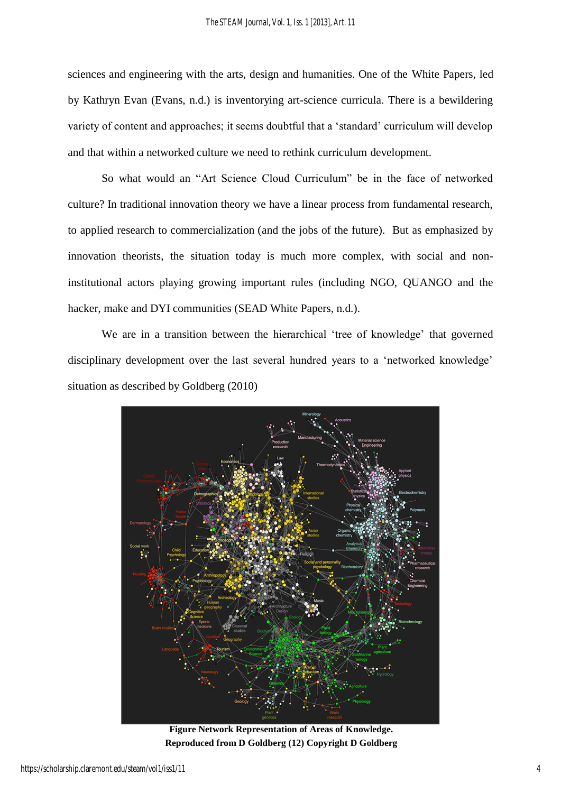sciences and engineering with the arts, design and humanities. One of the White Papers, led by Kathryn Evan (Evans, n.d.) is inventorying art-science curricula. There is a bewildering variety of content and approaches; it seems doubtful that a 'standard' curriculum will develop and that within a networked culture we need to rethink curriculum development.

So what would an "Art Science Cloud Curriculum" be in the face of networked culture? In traditional innovation theory we have a linear process from fundamental research, to applied research to commercialization (and the jobs of the future). But as emphasized by innovation theorists, the situation today is much more complex, with social and noninstitutional actors playing growing important rules (including NGO, QUANGO and the hacker, make and DYI communities (SEAD White Papers, n.d.).

We are in a transition between the hierarchical 'tree of knowledge' that governed disciplinary development over the last several hundred years to a 'networked knowledge' situation as described by Goldberg (2010)



**Figure Network Representation of Areas of Knowledge. Reproduced from D Goldberg (12) Copyright D Goldberg**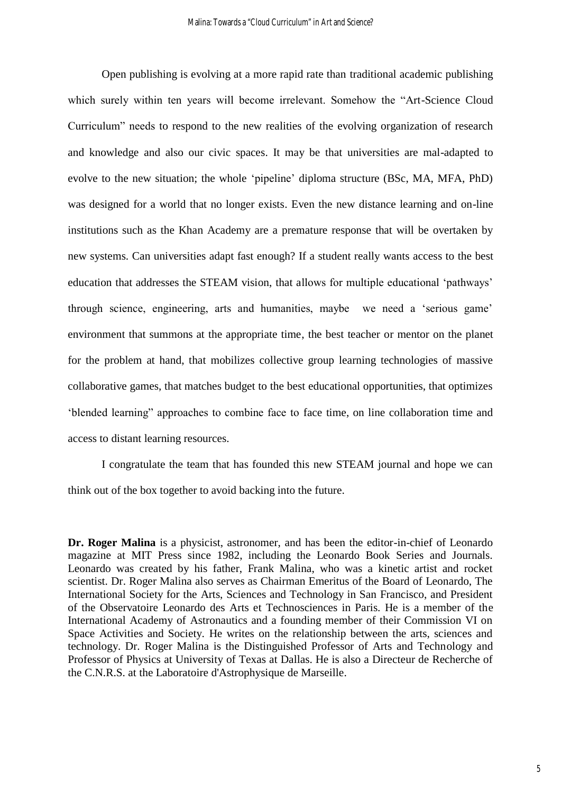Open publishing is evolving at a more rapid rate than traditional academic publishing which surely within ten years will become irrelevant. Somehow the "Art-Science Cloud Curriculum" needs to respond to the new realities of the evolving organization of research and knowledge and also our civic spaces. It may be that universities are mal-adapted to evolve to the new situation; the whole 'pipeline' diploma structure (BSc, MA, MFA, PhD) was designed for a world that no longer exists. Even the new distance learning and on-line institutions such as the Khan Academy are a premature response that will be overtaken by new systems. Can universities adapt fast enough? If a student really wants access to the best education that addresses the STEAM vision, that allows for multiple educational 'pathways' through science, engineering, arts and humanities, maybe we need a 'serious game' environment that summons at the appropriate time, the best teacher or mentor on the planet for the problem at hand, that mobilizes collective group learning technologies of massive collaborative games, that matches budget to the best educational opportunities, that optimizes 'blended learning" approaches to combine face to face time, on line collaboration time and access to distant learning resources.

I congratulate the team that has founded this new STEAM journal and hope we can think out of the box together to avoid backing into the future.

**Dr. Roger Malina** is a physicist, astronomer, and has been the editor-in-chief of Leonardo magazine at MIT Press since 1982, including the Leonardo Book Series and Journals. Leonardo was created by his father, Frank Malina, who was a kinetic artist and rocket scientist. Dr. Roger Malina also serves as Chairman Emeritus of the Board of Leonardo, The International Society for the Arts, Sciences and Technology in San Francisco, and President of the Observatoire Leonardo des Arts et Technosciences in Paris. He is a member of the International Academy of Astronautics and a founding member of their Commission VI on Space Activities and Society. He writes on the relationship between the arts, sciences and technology. Dr. Roger Malina is the Distinguished Professor of Arts and Technology and Professor of Physics at University of Texas at Dallas. He is also a Directeur de Recherche of the C.N.R.S. at the Laboratoire d'Astrophysique de Marseille.